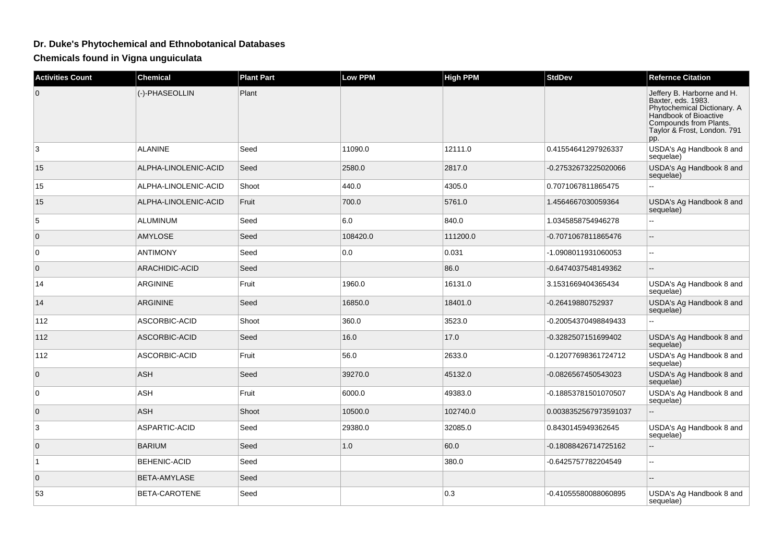## **Dr. Duke's Phytochemical and Ethnobotanical Databases**

**Chemicals found in Vigna unguiculata**

| <b>Activities Count</b> | <b>Chemical</b>      | <b>Plant Part</b> | <b>Low PPM</b> | <b>High PPM</b> | <b>StdDev</b>         | <b>Refernce Citation</b>                                                                                                                                                 |
|-------------------------|----------------------|-------------------|----------------|-----------------|-----------------------|--------------------------------------------------------------------------------------------------------------------------------------------------------------------------|
| $\mathbf{0}$            | (-)-PHASEOLLIN       | Plant             |                |                 |                       | Jeffery B. Harborne and H.<br>Baxter, eds. 1983.<br>Phytochemical Dictionary. A<br>Handbook of Bioactive<br>Compounds from Plants.<br>Taylor & Frost, London. 791<br>pp. |
| 3                       | <b>ALANINE</b>       | Seed              | 11090.0        | 12111.0         | 0.41554641297926337   | USDA's Ag Handbook 8 and<br>sequelae)                                                                                                                                    |
| 15                      | ALPHA-LINOLENIC-ACID | Seed              | 2580.0         | 2817.0          | -0.27532673225020066  | USDA's Ag Handbook 8 and<br>sequelae)                                                                                                                                    |
| 15                      | ALPHA-LINOLENIC-ACID | Shoot             | 440.0          | 4305.0          | 0.7071067811865475    |                                                                                                                                                                          |
| 15                      | ALPHA-LINOLENIC-ACID | Fruit             | 700.0          | 5761.0          | 1.4564667030059364    | USDA's Ag Handbook 8 and<br>sequelae)                                                                                                                                    |
| 5                       | ALUMINUM             | Seed              | 6.0            | 840.0           | 1.0345858754946278    |                                                                                                                                                                          |
| $\mathbf{0}$            | <b>AMYLOSE</b>       | Seed              | 108420.0       | 111200.0        | -0.7071067811865476   | Ξ.                                                                                                                                                                       |
| $\mathbf 0$             | <b>ANTIMONY</b>      | Seed              | 0.0            | 0.031           | -1.0908011931060053   | --                                                                                                                                                                       |
| $\mathbf 0$             | ARACHIDIC-ACID       | Seed              |                | 86.0            | -0.6474037548149362   | --                                                                                                                                                                       |
| 14                      | <b>ARGININE</b>      | Fruit             | 1960.0         | 16131.0         | 3.1531669404365434    | USDA's Ag Handbook 8 and<br>sequelae)                                                                                                                                    |
| 14                      | <b>ARGININE</b>      | Seed              | 16850.0        | 18401.0         | -0.26419880752937     | USDA's Ag Handbook 8 and<br>sequelae)                                                                                                                                    |
| 112                     | ASCORBIC-ACID        | Shoot             | 360.0          | 3523.0          | -0.20054370498849433  |                                                                                                                                                                          |
| 112                     | ASCORBIC-ACID        | Seed              | 16.0           | 17.0            | -0.3282507151699402   | USDA's Ag Handbook 8 and<br>sequelae)                                                                                                                                    |
| 112                     | ASCORBIC-ACID        | Fruit             | 56.0           | 2633.0          | -0.12077698361724712  | USDA's Ag Handbook 8 and<br>sequelae)                                                                                                                                    |
| $\mathbf{0}$            | <b>ASH</b>           | Seed              | 39270.0        | 45132.0         | -0.0826567450543023   | USDA's Ag Handbook 8 and<br>sequelae)                                                                                                                                    |
| 0                       | ASH                  | Fruit             | 6000.0         | 49383.0         | -0.18853781501070507  | USDA's Ag Handbook 8 and<br>sequelae)                                                                                                                                    |
| $\mathbf{0}$            | <b>ASH</b>           | Shoot             | 10500.0        | 102740.0        | 0.0038352567973591037 |                                                                                                                                                                          |
| 3                       | ASPARTIC-ACID        | Seed              | 29380.0        | 32085.0         | 0.8430145949362645    | USDA's Ag Handbook 8 and<br>sequelae)                                                                                                                                    |
| $\mathbf{0}$            | <b>BARIUM</b>        | Seed              | 1.0            | 60.0            | -0.18088426714725162  |                                                                                                                                                                          |
| $\overline{1}$          | <b>BEHENIC-ACID</b>  | Seed              |                | 380.0           | -0.6425757782204549   | Ξ.                                                                                                                                                                       |
| $\mathbf{0}$            | <b>BETA-AMYLASE</b>  | Seed              |                |                 |                       | $-$                                                                                                                                                                      |
| 53                      | BETA-CAROTENE        | Seed              |                | 0.3             | -0.41055580088060895  | USDA's Ag Handbook 8 and<br>sequelae)                                                                                                                                    |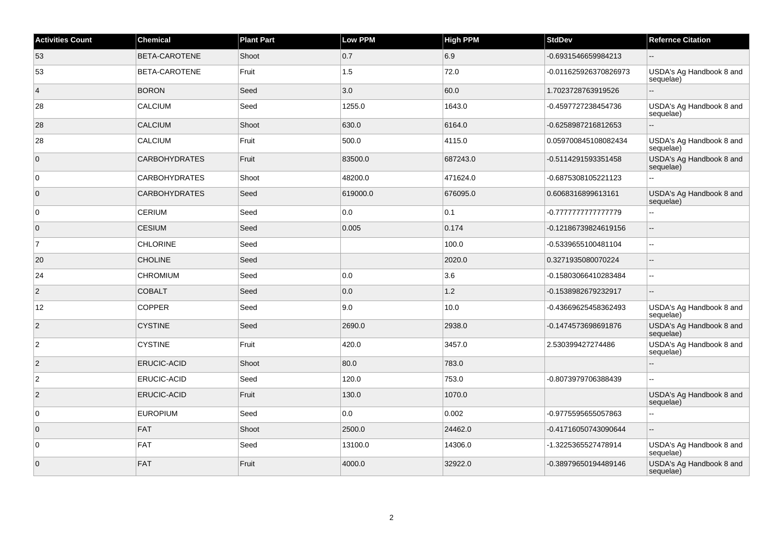| <b>Activities Count</b> | Chemical             | <b>Plant Part</b> | <b>Low PPM</b> | <b>High PPM</b> | <b>StdDev</b>         | <b>Refernce Citation</b>              |
|-------------------------|----------------------|-------------------|----------------|-----------------|-----------------------|---------------------------------------|
| 53                      | BETA-CAROTENE        | Shoot             | 0.7            | 6.9             | -0.6931546659984213   |                                       |
| 53                      | BETA-CAROTENE        | Fruit             | 1.5            | 72.0            | -0.011625926370826973 | USDA's Ag Handbook 8 and<br>sequelae) |
| $\overline{4}$          | <b>BORON</b>         | Seed              | 3.0            | 60.0            | 1.7023728763919526    |                                       |
| 28                      | CALCIUM              | Seed              | 1255.0         | 1643.0          | -0.4597727238454736   | USDA's Ag Handbook 8 and<br>sequelae) |
| 28                      | CALCIUM              | Shoot             | 630.0          | 6164.0          | -0.6258987216812653   |                                       |
| 28                      | CALCIUM              | Fruit             | 500.0          | 4115.0          | 0.059700845108082434  | USDA's Ag Handbook 8 and<br>sequelae) |
| $\overline{0}$          | <b>CARBOHYDRATES</b> | Fruit             | 83500.0        | 687243.0        | -0.5114291593351458   | USDA's Ag Handbook 8 and<br>sequelae) |
| $\overline{0}$          | <b>CARBOHYDRATES</b> | Shoot             | 48200.0        | 471624.0        | -0.6875308105221123   | $\sim$                                |
| $\overline{0}$          | <b>CARBOHYDRATES</b> | Seed              | 619000.0       | 676095.0        | 0.6068316899613161    | USDA's Ag Handbook 8 and<br>sequelae) |
| $\overline{0}$          | <b>CERIUM</b>        | Seed              | 0.0            | 0.1             | -0.777777777777779    | $\overline{a}$                        |
| $\overline{0}$          | <b>CESIUM</b>        | Seed              | 0.005          | 0.174           | -0.12186739824619156  | $-$                                   |
| $\overline{7}$          | <b>CHLORINE</b>      | Seed              |                | 100.0           | -0.5339655100481104   | $\sim$                                |
| 20                      | <b>CHOLINE</b>       | Seed              |                | 2020.0          | 0.3271935080070224    | $-$                                   |
| 24                      | <b>CHROMIUM</b>      | Seed              | 0.0            | 3.6             | -0.15803066410283484  | $-$                                   |
| $\overline{2}$          | <b>COBALT</b>        | Seed              | 0.0            | $1.2$           | -0.1538982679232917   |                                       |
| 12                      | <b>COPPER</b>        | Seed              | 9.0            | 10.0            | -0.43669625458362493  | USDA's Ag Handbook 8 and<br>sequelae) |
| $\overline{2}$          | <b>CYSTINE</b>       | Seed              | 2690.0         | 2938.0          | -0.1474573698691876   | USDA's Ag Handbook 8 and<br>sequelae) |
| $\overline{c}$          | <b>CYSTINE</b>       | Fruit             | 420.0          | 3457.0          | 2.530399427274486     | USDA's Ag Handbook 8 and<br>sequelae) |
| 2                       | ERUCIC-ACID          | Shoot             | 80.0           | 783.0           |                       |                                       |
| $\overline{c}$          | <b>ERUCIC-ACID</b>   | Seed              | 120.0          | 753.0           | -0.8073979706388439   | ä.                                    |
| $ 2\rangle$             | ERUCIC-ACID          | Fruit             | 130.0          | 1070.0          |                       | USDA's Ag Handbook 8 and<br>sequelae) |
| $\overline{0}$          | <b>EUROPIUM</b>      | Seed              | 0.0            | 0.002           | -0.9775595655057863   |                                       |
| $\overline{0}$          | <b>FAT</b>           | Shoot             | 2500.0         | 24462.0         | -0.41716050743090644  |                                       |
| $\overline{0}$          | <b>FAT</b>           | Seed              | 13100.0        | 14306.0         | -1.3225365527478914   | USDA's Ag Handbook 8 and<br>sequelae) |
| $\overline{0}$          | FAT                  | Fruit             | 4000.0         | 32922.0         | -0.38979650194489146  | USDA's Ag Handbook 8 and<br>sequelae) |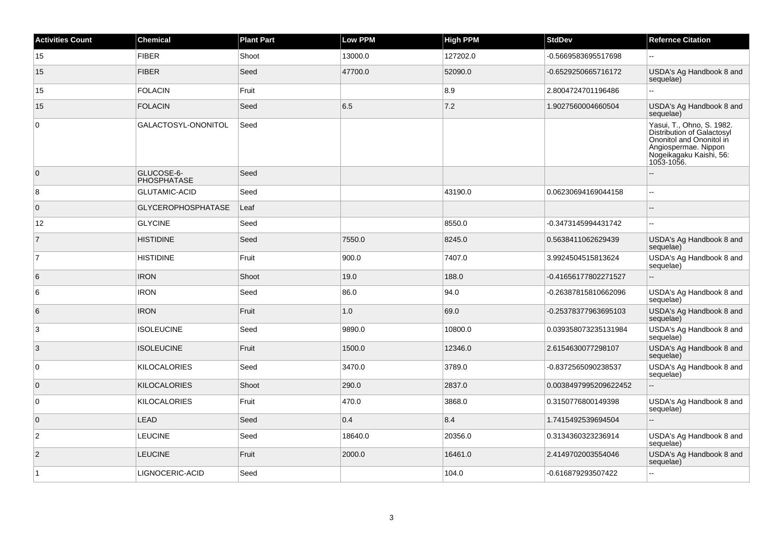| <b>Activities Count</b> | <b>Chemical</b>           | <b>Plant Part</b> | <b>Low PPM</b> | <b>High PPM</b> | <b>StdDev</b>         | <b>Refernce Citation</b>                                                                                                                             |
|-------------------------|---------------------------|-------------------|----------------|-----------------|-----------------------|------------------------------------------------------------------------------------------------------------------------------------------------------|
| 15                      | <b>FIBER</b>              | Shoot             | 13000.0        | 127202.0        | -0.5669583695517698   | $\sim$                                                                                                                                               |
| 15                      | <b>FIBER</b>              | Seed              | 47700.0        | 52090.0         | -0.6529250665716172   | USDA's Ag Handbook 8 and<br>sequelae)                                                                                                                |
| 15                      | <b>FOLACIN</b>            | Fruit             |                | 8.9             | 2.8004724701196486    | $\ddotsc$                                                                                                                                            |
| 15                      | <b>FOLACIN</b>            | Seed              | 6.5            | 7.2             | 1.9027560004660504    | USDA's Ag Handbook 8 and<br>sequelae)                                                                                                                |
| $\overline{0}$          | GALACTOSYL-ONONITOL       | Seed              |                |                 |                       | Yasui, T., Ohno, S. 1982.<br>Distribution of Galactosyl<br>Ononitol and Ononitol in<br>Angiospermae. Nippon<br>Mogeikagaku Kaishi, 56:<br>1053-1056. |
| $\overline{0}$          | GLUCOSE-6-<br>PHOSPHATASE | Seed              |                |                 |                       |                                                                                                                                                      |
| 8                       | <b>GLUTAMIC-ACID</b>      | Seed              |                | 43190.0         | 0.06230694169044158   | $\ddotsc$                                                                                                                                            |
| $\overline{0}$          | <b>GLYCEROPHOSPHATASE</b> | Leaf              |                |                 |                       | $\sim$                                                                                                                                               |
| 12                      | <b>GLYCINE</b>            | Seed              |                | 8550.0          | -0.3473145994431742   | $\sim$                                                                                                                                               |
| $\overline{7}$          | <b>HISTIDINE</b>          | Seed              | 7550.0         | 8245.0          | 0.5638411062629439    | USDA's Ag Handbook 8 and<br>sequelae)                                                                                                                |
| $\overline{7}$          | <b>HISTIDINE</b>          | Fruit             | 900.0          | 7407.0          | 3.9924504515813624    | USDA's Ag Handbook 8 and<br>sequelae)                                                                                                                |
| 6                       | <b>IRON</b>               | Shoot             | 19.0           | 188.0           | -0.41656177802271527  |                                                                                                                                                      |
| 6                       | <b>IRON</b>               | Seed              | 86.0           | 94.0            | -0.26387815810662096  | USDA's Ag Handbook 8 and<br>sequelae)                                                                                                                |
| 6                       | <b>IRON</b>               | Fruit             | 1.0            | 69.0            | -0.25378377963695103  | USDA's Ag Handbook 8 and<br>sequelae)                                                                                                                |
| $\overline{3}$          | <b>ISOLEUCINE</b>         | Seed              | 9890.0         | 10800.0         | 0.039358073235131984  | USDA's Ag Handbook 8 and<br>sequelae)                                                                                                                |
| 3                       | <b>ISOLEUCINE</b>         | Fruit             | 1500.0         | 12346.0         | 2.6154630077298107    | USDA's Ag Handbook 8 and<br>sequelae)                                                                                                                |
| 0                       | <b>KILOCALORIES</b>       | Seed              | 3470.0         | 3789.0          | -0.8372565090238537   | USDA's Ag Handbook 8 and<br>sequelae)                                                                                                                |
| $\overline{0}$          | <b>KILOCALORIES</b>       | Shoot             | 290.0          | 2837.0          | 0.0038497995209622452 | $\overline{a}$                                                                                                                                       |
| $\overline{0}$          | <b>KILOCALORIES</b>       | Fruit             | 470.0          | 3868.0          | 0.3150776800149398    | USDA's Ag Handbook 8 and<br>sequelae)                                                                                                                |
| $\overline{0}$          | <b>LEAD</b>               | Seed              | 0.4            | 8.4             | 1.7415492539694504    | $\overline{\phantom{a}}$                                                                                                                             |
| $\overline{2}$          | <b>LEUCINE</b>            | Seed              | 18640.0        | 20356.0         | 0.3134360323236914    | USDA's Ag Handbook 8 and<br>sequelae)                                                                                                                |
| $\overline{2}$          | <b>LEUCINE</b>            | Fruit             | 2000.0         | 16461.0         | 2.4149702003554046    | USDA's Ag Handbook 8 and<br>sequelae)                                                                                                                |
| $\vert$ 1               | LIGNOCERIC-ACID           | Seed              |                | 104.0           | -0.616879293507422    | $\sim$ $\sim$                                                                                                                                        |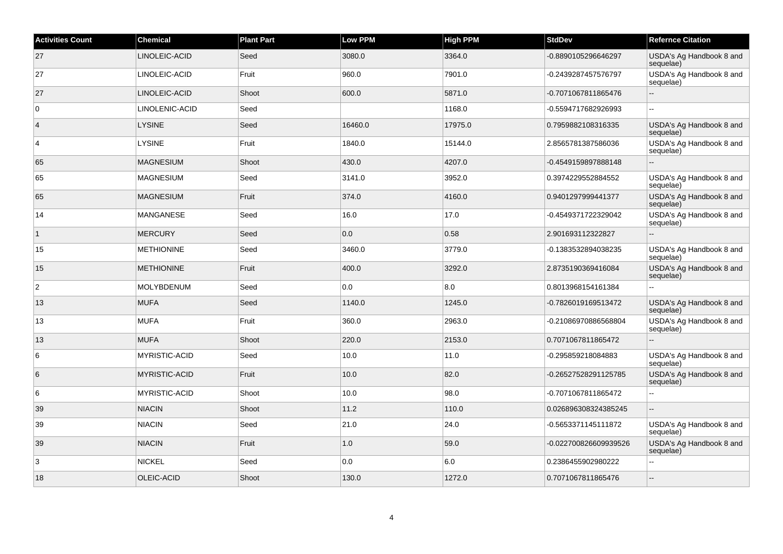| <b>Activities Count</b> | <b>Chemical</b>      | <b>Plant Part</b> | <b>Low PPM</b> | High PPM | <b>StdDev</b>         | <b>Refernce Citation</b>              |
|-------------------------|----------------------|-------------------|----------------|----------|-----------------------|---------------------------------------|
| 27                      | LINOLEIC-ACID        | Seed              | 3080.0         | 3364.0   | -0.8890105296646297   | USDA's Ag Handbook 8 and<br>sequelae) |
| 27                      | LINOLEIC-ACID        | Fruit             | 960.0          | 7901.0   | -0.2439287457576797   | USDA's Ag Handbook 8 and<br>sequelae) |
| 27                      | LINOLEIC-ACID        | Shoot             | 600.0          | 5871.0   | -0.7071067811865476   |                                       |
| $\overline{0}$          | LINOLENIC-ACID       | Seed              |                | 1168.0   | -0.5594717682926993   | ۵.                                    |
| $\vert$ 4               | <b>LYSINE</b>        | Seed              | 16460.0        | 17975.0  | 0.7959882108316335    | USDA's Ag Handbook 8 and<br>sequelae) |
| $\overline{4}$          | <b>LYSINE</b>        | Fruit             | 1840.0         | 15144.0  | 2.8565781387586036    | USDA's Ag Handbook 8 and<br>sequelae) |
| 65                      | <b>MAGNESIUM</b>     | Shoot             | 430.0          | 4207.0   | -0.4549159897888148   |                                       |
| 65                      | <b>MAGNESIUM</b>     | Seed              | 3141.0         | 3952.0   | 0.3974229552884552    | USDA's Ag Handbook 8 and<br>sequelae) |
| 65                      | <b>MAGNESIUM</b>     | Fruit             | 374.0          | 4160.0   | 0.9401297999441377    | USDA's Ag Handbook 8 and<br>sequelae) |
| 14                      | <b>MANGANESE</b>     | Seed              | 16.0           | 17.0     | -0.4549371722329042   | USDA's Ag Handbook 8 and<br>sequelae) |
| $\overline{1}$          | <b>MERCURY</b>       | Seed              | 0.0            | 0.58     | 2.901693112322827     |                                       |
| 15                      | <b>METHIONINE</b>    | Seed              | 3460.0         | 3779.0   | -0.1383532894038235   | USDA's Ag Handbook 8 and<br>sequelae) |
| 15                      | <b>METHIONINE</b>    | Fruit             | 400.0          | 3292.0   | 2.8735190369416084    | USDA's Ag Handbook 8 and<br>sequelae) |
| $\overline{c}$          | MOLYBDENUM           | Seed              | 0.0            | 8.0      | 0.8013968154161384    |                                       |
| 13                      | <b>MUFA</b>          | Seed              | 1140.0         | 1245.0   | -0.7826019169513472   | USDA's Ag Handbook 8 and<br>sequelae) |
| 13                      | <b>MUFA</b>          | Fruit             | 360.0          | 2963.0   | -0.21086970886568804  | USDA's Ag Handbook 8 and<br>sequelae) |
| 13                      | <b>MUFA</b>          | Shoot             | 220.0          | 2153.0   | 0.7071067811865472    |                                       |
| 6                       | <b>MYRISTIC-ACID</b> | Seed              | 10.0           | 11.0     | -0.295859218084883    | USDA's Ag Handbook 8 and<br>sequelae) |
| 6                       | <b>MYRISTIC-ACID</b> | Fruit             | 10.0           | 82.0     | -0.26527528291125785  | USDA's Ag Handbook 8 and<br>sequelae) |
| $\,6$                   | <b>MYRISTIC-ACID</b> | Shoot             | 10.0           | 98.0     | -0.7071067811865472   | ă.                                    |
| 39                      | <b>NIACIN</b>        | Shoot             | 11.2           | 110.0    | 0.026896308324385245  | $\sim$ $\sim$                         |
| 39                      | <b>NIACIN</b>        | Seed              | 21.0           | 24.0     | -0.5653371145111872   | USDA's Ag Handbook 8 and<br>sequelae) |
| 39                      | <b>NIACIN</b>        | Fruit             | 1.0            | 59.0     | -0.022700826609939526 | USDA's Ag Handbook 8 and<br>sequelae) |
| 3                       | <b>NICKEL</b>        | Seed              | 0.0            | 6.0      | 0.2386455902980222    |                                       |
| 18                      | OLEIC-ACID           | Shoot             | 130.0          | 1272.0   | 0.7071067811865476    | $\overline{\phantom{a}}$              |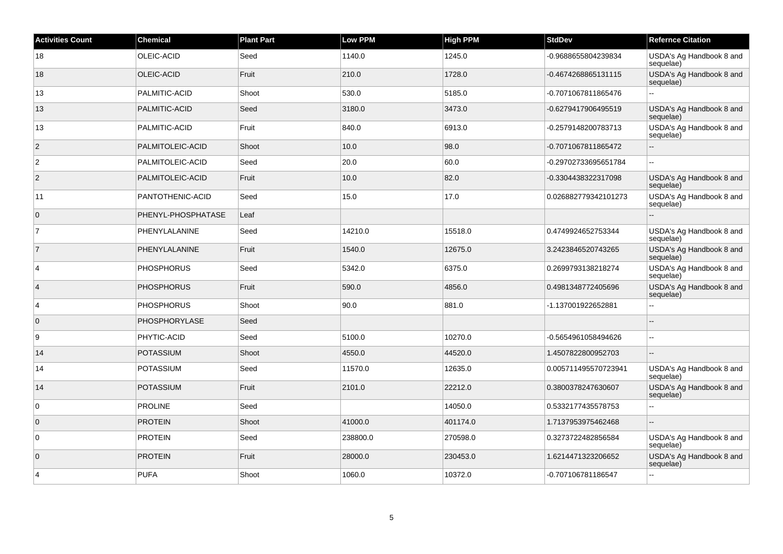| <b>Activities Count</b> | <b>Chemical</b>    | <b>Plant Part</b> | <b>Low PPM</b> | <b>High PPM</b> | <b>StdDev</b>        | <b>Refernce Citation</b>              |
|-------------------------|--------------------|-------------------|----------------|-----------------|----------------------|---------------------------------------|
| 18                      | OLEIC-ACID         | Seed              | 1140.0         | 1245.0          | -0.9688655804239834  | USDA's Ag Handbook 8 and<br>sequelae) |
| 18                      | OLEIC-ACID         | Fruit             | 210.0          | 1728.0          | -0.4674268865131115  | USDA's Ag Handbook 8 and<br>sequelae) |
| 13                      | PALMITIC-ACID      | Shoot             | 530.0          | 5185.0          | -0.7071067811865476  |                                       |
| 13                      | PALMITIC-ACID      | Seed              | 3180.0         | 3473.0          | -0.6279417906495519  | USDA's Ag Handbook 8 and<br>sequelae) |
| 13                      | PALMITIC-ACID      | Fruit             | 840.0          | 6913.0          | -0.2579148200783713  | USDA's Ag Handbook 8 and<br>sequelae) |
| $\sqrt{2}$              | PALMITOLEIC-ACID   | Shoot             | 10.0           | 98.0            | -0.7071067811865472  |                                       |
| $\overline{2}$          | PALMITOLEIC-ACID   | Seed              | 20.0           | 60.0            | -0.29702733695651784 | $\overline{a}$                        |
| $\overline{c}$          | PALMITOLEIC-ACID   | Fruit             | 10.0           | 82.0            | -0.3304438322317098  | USDA's Ag Handbook 8 and<br>sequelae) |
| 11                      | PANTOTHENIC-ACID   | Seed              | 15.0           | 17.0            | 0.026882779342101273 | USDA's Ag Handbook 8 and<br>sequelae) |
| $\overline{0}$          | PHENYL-PHOSPHATASE | Leaf              |                |                 |                      |                                       |
| $\overline{7}$          | PHENYLALANINE      | Seed              | 14210.0        | 15518.0         | 0.4749924652753344   | USDA's Ag Handbook 8 and<br>sequelae) |
| $\overline{7}$          | PHENYLALANINE      | Fruit             | 1540.0         | 12675.0         | 3.2423846520743265   | USDA's Ag Handbook 8 and<br>sequelae) |
| 4                       | <b>PHOSPHORUS</b>  | Seed              | 5342.0         | 6375.0          | 0.2699793138218274   | USDA's Ag Handbook 8 and<br>sequelae) |
| $\overline{4}$          | <b>PHOSPHORUS</b>  | Fruit             | 590.0          | 4856.0          | 0.4981348772405696   | USDA's Ag Handbook 8 and<br>sequelae) |
| 4                       | <b>PHOSPHORUS</b>  | Shoot             | 90.0           | 881.0           | -1.137001922652881   | L.                                    |
| $\mathbf 0$             | PHOSPHORYLASE      | Seed              |                |                 |                      |                                       |
| 9                       | PHYTIC-ACID        | Seed              | 5100.0         | 10270.0         | -0.5654961058494626  | $\sim$                                |
| 14                      | <b>POTASSIUM</b>   | Shoot             | 4550.0         | 44520.0         | 1.4507822800952703   |                                       |
| 14                      | <b>POTASSIUM</b>   | Seed              | 11570.0        | 12635.0         | 0.005711495570723941 | USDA's Ag Handbook 8 and<br>sequelae) |
| 14                      | <b>POTASSIUM</b>   | Fruit             | 2101.0         | 22212.0         | 0.3800378247630607   | USDA's Ag Handbook 8 and<br>sequelae) |
| 0                       | <b>PROLINE</b>     | Seed              |                | 14050.0         | 0.5332177435578753   |                                       |
| $\mathbf 0$             | <b>PROTEIN</b>     | Shoot             | 41000.0        | 401174.0        | 1.7137953975462468   | ÷.                                    |
| $\mathbf 0$             | <b>PROTEIN</b>     | Seed              | 238800.0       | 270598.0        | 0.3273722482856584   | USDA's Ag Handbook 8 and<br>sequelae) |
| $\mathbf{0}$            | <b>PROTEIN</b>     | Fruit             | 28000.0        | 230453.0        | 1.6214471323206652   | USDA's Ag Handbook 8 and<br>sequelae) |
| 4                       | <b>PUFA</b>        | Shoot             | 1060.0         | 10372.0         | -0.707106781186547   | --                                    |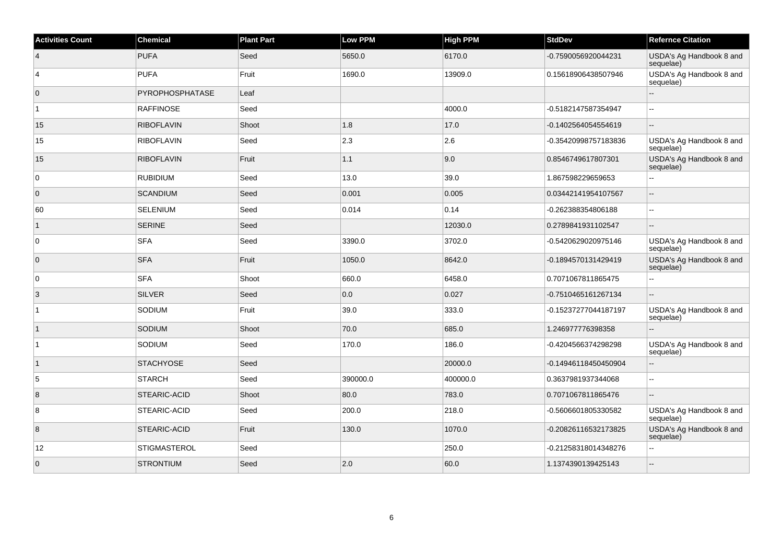| <b>Activities Count</b> | Chemical          | <b>Plant Part</b> | <b>Low PPM</b> | High PPM | <b>StdDev</b>        | <b>Refernce Citation</b>              |
|-------------------------|-------------------|-------------------|----------------|----------|----------------------|---------------------------------------|
| $\overline{4}$          | PUFA              | Seed              | 5650.0         | 6170.0   | -0.7590056920044231  | USDA's Ag Handbook 8 and<br>sequelae) |
| 4                       | <b>PUFA</b>       | Fruit             | 1690.0         | 13909.0  | 0.15618906438507946  | USDA's Ag Handbook 8 and<br>sequelae) |
| $\overline{0}$          | PYROPHOSPHATASE   | Leaf              |                |          |                      |                                       |
| $\overline{1}$          | <b>RAFFINOSE</b>  | Seed              |                | 4000.0   | -0.5182147587354947  |                                       |
| 15                      | <b>RIBOFLAVIN</b> | Shoot             | 1.8            | 17.0     | -0.1402564054554619  | $\overline{\phantom{a}}$              |
| 15                      | <b>RIBOFLAVIN</b> | Seed              | 2.3            | 2.6      | -0.35420998757183836 | USDA's Ag Handbook 8 and<br>sequelae) |
| 15                      | <b>RIBOFLAVIN</b> | Fruit             | 1.1            | 9.0      | 0.8546749617807301   | USDA's Ag Handbook 8 and<br>sequelae) |
| $\overline{0}$          | <b>RUBIDIUM</b>   | Seed              | 13.0           | 39.0     | 1.867598229659653    |                                       |
| $\overline{0}$          | <b>SCANDIUM</b>   | Seed              | 0.001          | 0.005    | 0.03442141954107567  | $\sim$                                |
| 60                      | <b>SELENIUM</b>   | Seed              | 0.014          | 0.14     | -0.262388354806188   |                                       |
| $\overline{1}$          | <b>SERINE</b>     | Seed              |                | 12030.0  | 0.2789841931102547   |                                       |
| $\overline{0}$          | <b>SFA</b>        | Seed              | 3390.0         | 3702.0   | -0.5420629020975146  | USDA's Ag Handbook 8 and<br>sequelae) |
| $\overline{0}$          | <b>SFA</b>        | Fruit             | 1050.0         | 8642.0   | -0.1894570131429419  | USDA's Ag Handbook 8 and<br>sequelae) |
| $\overline{0}$          | SFA               | Shoot             | 660.0          | 6458.0   | 0.7071067811865475   | L.                                    |
| 3                       | SILVER            | Seed              | 0.0            | 0.027    | -0.7510465161267134  | $\mathbf{u}$                          |
| $\overline{1}$          | SODIUM            | Fruit             | 39.0           | 333.0    | -0.15237277044187197 | USDA's Ag Handbook 8 and<br>sequelae) |
| 1                       | SODIUM            | Shoot             | 70.0           | 685.0    | 1.246977776398358    | $\overline{\phantom{a}}$              |
| $\overline{1}$          | SODIUM            | Seed              | 170.0          | 186.0    | -0.4204566374298298  | USDA's Ag Handbook 8 and<br>sequelae) |
| $\overline{1}$          | <b>STACHYOSE</b>  | Seed              |                | 20000.0  | -0.14946118450450904 | $\mathbf{u}$                          |
| $\sqrt{5}$              | <b>STARCH</b>     | Seed              | 390000.0       | 400000.0 | 0.3637981937344068   | $\overline{a}$                        |
| 8                       | STEARIC-ACID      | Shoot             | 80.0           | 783.0    | 0.7071067811865476   | $\sim$                                |
| 8                       | STEARIC-ACID      | Seed              | 200.0          | 218.0    | -0.5606601805330582  | USDA's Ag Handbook 8 and<br>sequelae) |
| $\overline{8}$          | STEARIC-ACID      | Fruit             | 130.0          | 1070.0   | -0.20826116532173825 | USDA's Ag Handbook 8 and<br>sequelae) |
| 12                      | STIGMASTEROL      | Seed              |                | 250.0    | -0.21258318014348276 | $\sim$                                |
| $\overline{0}$          | <b>STRONTIUM</b>  | Seed              | 2.0            | 60.0     | 1.1374390139425143   |                                       |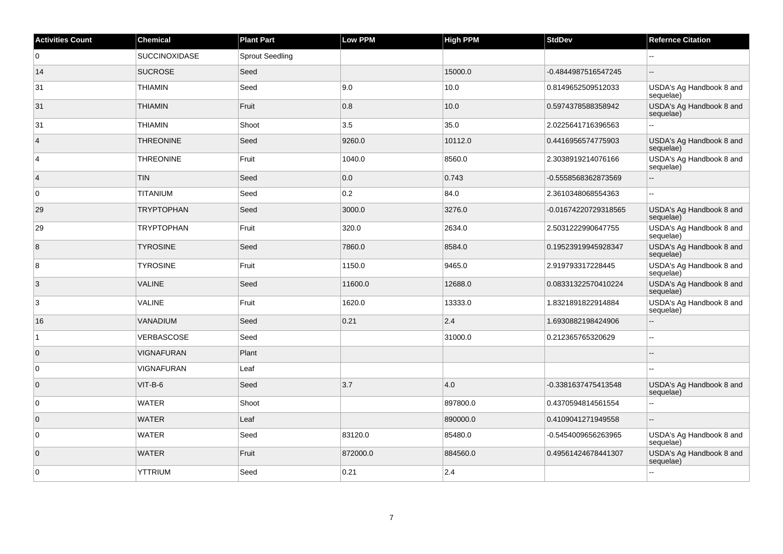| <b>Activities Count</b> | Chemical             | <b>Plant Part</b>      | Low PPM  | <b>High PPM</b> | <b>StdDev</b>        | <b>Refernce Citation</b>              |
|-------------------------|----------------------|------------------------|----------|-----------------|----------------------|---------------------------------------|
| $\overline{0}$          | <b>SUCCINOXIDASE</b> | <b>Sprout Seedling</b> |          |                 |                      |                                       |
| 14                      | <b>SUCROSE</b>       | Seed                   |          | 15000.0         | -0.4844987516547245  |                                       |
| 31                      | <b>THIAMIN</b>       | Seed                   | 9.0      | 10.0            | 0.8149652509512033   | USDA's Ag Handbook 8 and<br>sequelae) |
| 31                      | <b>THIAMIN</b>       | Fruit                  | 0.8      | 10.0            | 0.5974378588358942   | USDA's Ag Handbook 8 and<br>sequelae) |
| 31                      | <b>THIAMIN</b>       | Shoot                  | 3.5      | 35.0            | 2.0225641716396563   | L.                                    |
| $\vert$ 4               | <b>THREONINE</b>     | Seed                   | 9260.0   | 10112.0         | 0.4416956574775903   | USDA's Ag Handbook 8 and<br>sequelae) |
| $\overline{4}$          | <b>THREONINE</b>     | Fruit                  | 1040.0   | 8560.0          | 2.3038919214076166   | USDA's Ag Handbook 8 and<br>sequelae) |
| $\vert$ 4               | <b>TIN</b>           | Seed                   | 0.0      | 0.743           | -0.5558568362873569  | Ξ.                                    |
| $\overline{0}$          | <b>TITANIUM</b>      | Seed                   | 0.2      | 84.0            | 2.3610348068554363   |                                       |
| 29                      | <b>TRYPTOPHAN</b>    | Seed                   | 3000.0   | 3276.0          | -0.01674220729318565 | USDA's Ag Handbook 8 and<br>sequelae) |
| 29                      | <b>TRYPTOPHAN</b>    | Fruit                  | 320.0    | 2634.0          | 2.5031222990647755   | USDA's Ag Handbook 8 and<br>sequelae) |
| 8                       | <b>TYROSINE</b>      | Seed                   | 7860.0   | 8584.0          | 0.19523919945928347  | USDA's Ag Handbook 8 and<br>sequelae) |
| 8                       | <b>TYROSINE</b>      | Fruit                  | 1150.0   | 9465.0          | 2.919793317228445    | USDA's Ag Handbook 8 and<br>sequelae) |
| $\overline{3}$          | <b>VALINE</b>        | Seed                   | 11600.0  | 12688.0         | 0.08331322570410224  | USDA's Ag Handbook 8 and<br>sequelae) |
| 3                       | <b>VALINE</b>        | Fruit                  | 1620.0   | 13333.0         | 1.8321891822914884   | USDA's Ag Handbook 8 and<br>sequelae) |
| 16                      | <b>VANADIUM</b>      | Seed                   | 0.21     | 2.4             | 1.6930882198424906   | $-$                                   |
| $\mathbf{1}$            | VERBASCOSE           | Seed                   |          | 31000.0         | 0.212365765320629    | $-$                                   |
| $\overline{0}$          | <b>VIGNAFURAN</b>    | Plant                  |          |                 |                      |                                       |
| $\overline{0}$          | <b>VIGNAFURAN</b>    | Leaf                   |          |                 |                      | $-$                                   |
| $\overline{0}$          | $VIT-B-6$            | Seed                   | 3.7      | 4.0             | -0.3381637475413548  | USDA's Ag Handbook 8 and<br>sequelae) |
| $\overline{0}$          | <b>WATER</b>         | Shoot                  |          | 897800.0        | 0.4370594814561554   | $-$                                   |
| $\overline{0}$          | <b>WATER</b>         | Leaf                   |          | 890000.0        | 0.4109041271949558   | Ξ.                                    |
| $\overline{0}$          | <b>WATER</b>         | Seed                   | 83120.0  | 85480.0         | -0.5454009656263965  | USDA's Ag Handbook 8 and<br>sequelae) |
| $\overline{0}$          | <b>WATER</b>         | Fruit                  | 872000.0 | 884560.0        | 0.49561424678441307  | USDA's Ag Handbook 8 and<br>sequelae) |
| $\overline{0}$          | <b>YTTRIUM</b>       | Seed                   | 0.21     | 2.4             |                      | $\sim$                                |